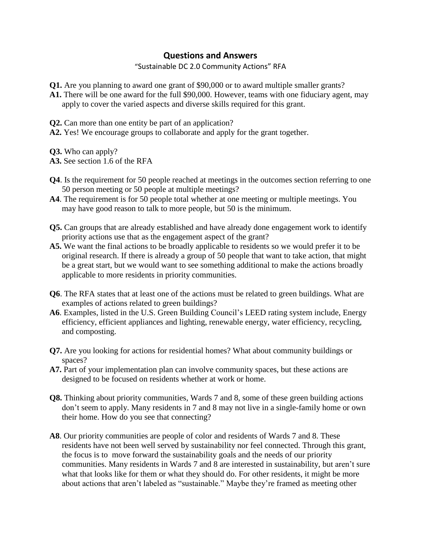## **Questions and Answers**

"Sustainable DC 2.0 Community Actions" RFA

- **Q1.** Are you planning to award one grant of \$90,000 or to award multiple smaller grants?
- **A1.** There will be one award for the full \$90,000. However, teams with one fiduciary agent, may apply to cover the varied aspects and diverse skills required for this grant.
- **Q2.** Can more than one entity be part of an application?
- **A2.** Yes! We encourage groups to collaborate and apply for the grant together.
- **Q3.** Who can apply?
- **A3.** See section 1.6 of the RFA
- **Q4**. Is the requirement for 50 people reached at meetings in the outcomes section referring to one 50 person meeting or 50 people at multiple meetings?
- **A4**. The requirement is for 50 people total whether at one meeting or multiple meetings. You may have good reason to talk to more people, but 50 is the minimum.
- **Q5.** Can groups that are already established and have already done engagement work to identify priority actions use that as the engagement aspect of the grant?
- **A5.** We want the final actions to be broadly applicable to residents so we would prefer it to be original research. If there is already a group of 50 people that want to take action, that might be a great start, but we would want to see something additional to make the actions broadly applicable to more residents in priority communities.
- **Q6**. The RFA states that at least one of the actions must be related to green buildings. What are examples of actions related to green buildings?
- **A6**. Examples, listed in the U.S. Green Building Council's LEED rating system include, Energy efficiency, efficient appliances and lighting, renewable energy, water efficiency, recycling, and composting.
- **Q7.** Are you looking for actions for residential homes? What about community buildings or spaces?
- **A7.** Part of your implementation plan can involve community spaces, but these actions are designed to be focused on residents whether at work or home.
- **Q8.** Thinking about priority communities, Wards 7 and 8, some of these green building actions don't seem to apply. Many residents in 7 and 8 may not live in a single-family home or own their home. How do you see that connecting?
- **A8**. Our priority communities are people of color and residents of Wards 7 and 8. These residents have not been well served by sustainability nor feel connected. Through this grant, the focus is to move forward the sustainability goals and the needs of our priority communities. Many residents in Wards 7 and 8 are interested in sustainability, but aren't sure what that looks like for them or what they should do. For other residents, it might be more about actions that aren't labeled as "sustainable." Maybe they're framed as meeting other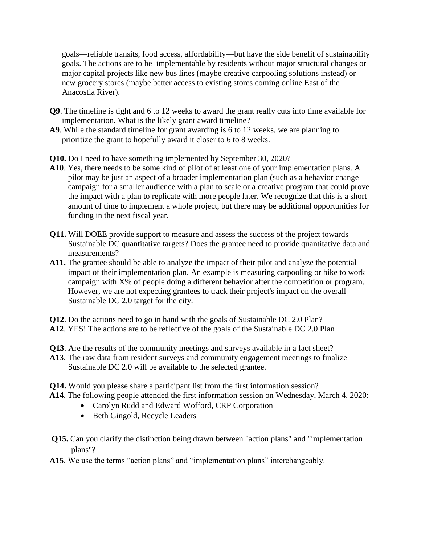goals—reliable transits, food access, affordability—but have the side benefit of sustainability goals. The actions are to be implementable by residents without major structural changes or major capital projects like new bus lines (maybe creative carpooling solutions instead) or new grocery stores (maybe better access to existing stores coming online East of the Anacostia River).

- **Q9**. The timeline is tight and 6 to 12 weeks to award the grant really cuts into time available for implementation. What is the likely grant award timeline?
- **A9**. While the standard timeline for grant awarding is 6 to 12 weeks, we are planning to prioritize the grant to hopefully award it closer to 6 to 8 weeks.

**Q10.** Do I need to have something implemented by September 30, 2020?

- **A10**. Yes, there needs to be some kind of pilot of at least one of your implementation plans. A pilot may be just an aspect of a broader implementation plan (such as a behavior change campaign for a smaller audience with a plan to scale or a creative program that could prove the impact with a plan to replicate with more people later. We recognize that this is a short amount of time to implement a whole project, but there may be additional opportunities for funding in the next fiscal year.
- **Q11.** Will DOEE provide support to measure and assess the success of the project towards Sustainable DC quantitative targets? Does the grantee need to provide quantitative data and measurements?
- **A11.** The grantee should be able to analyze the impact of their pilot and analyze the potential impact of their implementation plan. An example is measuring carpooling or bike to work campaign with X% of people doing a different behavior after the competition or program. However, we are not expecting grantees to track their project's impact on the overall Sustainable DC 2.0 target for the city.
- **Q12**. Do the actions need to go in hand with the goals of Sustainable DC 2.0 Plan?
- **A12**. YES! The actions are to be reflective of the goals of the Sustainable DC 2.0 Plan
- **Q13**. Are the results of the community meetings and surveys available in a fact sheet?
- **A13**. The raw data from resident surveys and community engagement meetings to finalize Sustainable DC 2.0 will be available to the selected grantee.
- **Q14.** Would you please share a participant list from the first information session?
- **A14**. The following people attended the first information session on Wednesday, March 4, 2020:
	- Carolyn Rudd and Edward Wofford, CRP Corporation
	- Beth Gingold, Recycle Leaders
- **Q15.** Can you clarify the distinction being drawn between "action plans" and "implementation plans"?
- **A15**. We use the terms "action plans" and "implementation plans" interchangeably.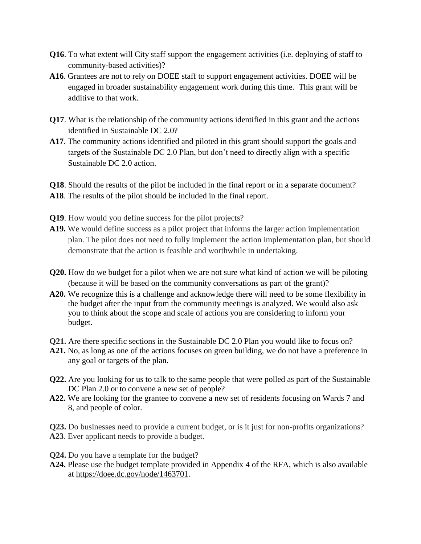- **Q16**. To what extent will City staff support the engagement activities (i.e. deploying of staff to community-based activities)?
- **A16**. Grantees are not to rely on DOEE staff to support engagement activities. DOEE will be engaged in broader sustainability engagement work during this time. This grant will be additive to that work.
- **Q17**. What is the relationship of the community actions identified in this grant and the actions identified in Sustainable DC 2.0?
- **A17**. The community actions identified and piloted in this grant should support the goals and targets of the Sustainable DC 2.0 Plan, but don't need to directly align with a specific Sustainable DC 2.0 action.
- **Q18**. Should the results of the pilot be included in the final report or in a separate document?
- **A18**. The results of the pilot should be included in the final report.
- **Q19**. How would you define success for the pilot projects?
- **A19.** We would define success as a pilot project that informs the larger action implementation plan. The pilot does not need to fully implement the action implementation plan, but should demonstrate that the action is feasible and worthwhile in undertaking.
- **Q20.** How do we budget for a pilot when we are not sure what kind of action we will be piloting (because it will be based on the community conversations as part of the grant)?
- **A20.** We recognize this is a challenge and acknowledge there will need to be some flexibility in the budget after the input from the community meetings is analyzed. We would also ask you to think about the scope and scale of actions you are considering to inform your budget.
- **Q21.** Are there specific sections in the Sustainable DC 2.0 Plan you would like to focus on?
- **A21.** No, as long as one of the actions focuses on green building, we do not have a preference in any goal or targets of the plan.
- **Q22.** Are you looking for us to talk to the same people that were polled as part of the Sustainable DC Plan 2.0 or to convene a new set of people?
- **A22.** We are looking for the grantee to convene a new set of residents focusing on Wards 7 and 8, and people of color.

**Q23.** Do businesses need to provide a current budget, or is it just for non-profits organizations? **A23**. Ever applicant needs to provide a budget.

- **Q24.** Do you have a template for the budget?
- **A24.** Please use the budget template provided in Appendix 4 of the RFA, which is also available at [https://doee.dc.gov/node/1463701.](https://doee.dc.gov/node/1463701)